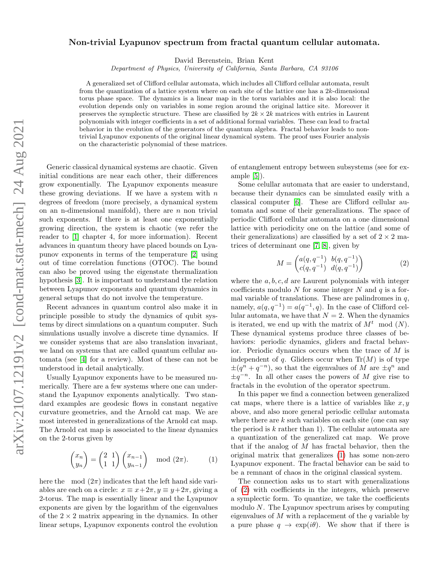# arXiv:2107.12191v2 [cond-mat.stat-mech] 24 Aug 2021 arXiv:2107.12191v2 [cond-mat.stat-mech] 24 Aug 2021

# Non-trivial Lyapunov spectrum from fractal quantum cellular automata.

David Berenstein, Brian Kent

Department of Physics, University of California, Santa Barbara, CA 93106

A generalized set of Clifford cellular automata, which includes all Clifford cellular automata, result from the quantization of a lattice system where on each site of the lattice one has a 2k-dimensional torus phase space. The dynamics is a linear map in the torus variables and it is also local: the evolution depends only on variables in some region around the original lattice site. Moreover it preserves the symplectic structure. These are classified by  $2k \times 2k$  matrices with entries in Laurent polynomials with integer coefficients in a set of additional formal variables. These can lead to fractal behavior in the evolution of the generators of the quantum algebra. Fractal behavior leads to nontrivial Lyapunov exponents of the original linear dynamical system. The proof uses Fourier analysis on the characteristic polynomial of these matrices.

Generic classical dynamical systems are chaotic. Given initial conditions are near each other, their differences grow exponentially. The Lyapunov exponents measure these growing deviations. If we have a system with  $n$ degrees of freedom (more precisely, a dynamical system on an n-dimensional manifold), there are  $n$  non trivial such exponents. If there is at least one exponentially growing direction, the system is chaotic (we refer the reader to [\[1\]](#page-4-0) chapter 4, for more information). Recent advances in quantum theory have placed bounds on Lyapunov exponents in terms of the temperature [\[2\]](#page-4-1) using out of time correlation functions (OTOC). The bound can also be proved using the eigenstate thermalization hypothesis [\[3\]](#page-4-2). It is important to understand the relation between Lyapunov exponents and quantum dynamics in general setups that do not involve the temperature.

Recent advances in quantum control also make it in principle possible to study the dynamics of qubit systems by direct simulations on a quantum computer. Such simulations usually involve a discrete time dynamics. If we consider systems that are also translation invariant, we land on systems that are called quantum cellular automata (see [\[4\]](#page-4-3) for a review). Most of these can not be understood in detail analytically.

Usually Lyapunov exponents have to be measured numerically. There are a few systems where one can understand the Lyapunov exponents analytically. Two standard examples are geodesic flows in constant negative curvature geometries, and the Arnold cat map. We are most interested in generalizations of the Arnold cat map. The Arnold cat map is associated to the linear dynamics on the 2-torus given by

<span id="page-0-0"></span>
$$
\begin{pmatrix} x_n \\ y_n \end{pmatrix} = \begin{pmatrix} 2 & 1 \\ 1 & 1 \end{pmatrix} \begin{pmatrix} x_{n-1} \\ y_{n-1} \end{pmatrix} \mod (2\pi). \tag{1}
$$

here the mod  $(2\pi)$  indicates that the left hand side variables are each on a circle:  $x \equiv x + 2\pi, y \equiv y + 2\pi$ , giving a 2-torus. The map is essentially linear and the Lyapunov exponents are given by the logarithm of the eigenvalues of the  $2 \times 2$  matrix appearing in the dynamics. In other linear setups, Lyapunov exponents control the evolution of entanglement entropy between subsystems (see for example [\[5\]](#page-4-4)).

Some celullar automata that are easier to understand, because their dynamics can be simulated easily with a classical computer [\[6\]](#page-4-5). These are Clifford cellular automata and some of their generalizations. The space of periodic Clifford cellular automata on a one dimensional lattice with periodicity one on the lattice (and some of their generalizations) are classified by a set of  $2 \times 2$  matrices of determinant one [\[7,](#page-4-6) [8\]](#page-4-7), given by

<span id="page-0-1"></span>
$$
M = \begin{pmatrix} a(q, q^{-1}) & b(q, q^{-1}) \\ c(q, q^{-1}) & d(q, q^{-1}) \end{pmatrix}
$$
 (2)

where the  $a, b, c, d$  are Laurent polynomials with integer coefficients modulo N for some integer N and  $q$  is a formal variable of translations. These are palindromes in  $q$ , namely,  $a(q, q^{-1}) = a(q^{-1}, q)$ . In the case of Clifford cellular automata, we have that  $N = 2$ . When the dynamics is iterated, we end up with the matrix of  $M<sup>t</sup>$  mod  $(N)$ . These dynamical systems produce three classes of behaviors: periodic dynamics, gliders and fractal behavior. Periodic dynamics occurs when the trace of M is independent of q. Gliders occur when  $Tr(M)$  is of type  $\pm (q^n + q^{-n})$ , so that the eigenvalues of M are  $\pm q^n$  and  $\pm q^{-n}$ . In all other cases the powers of M give rise to fractals in the evolution of the operator spectrum.

In this paper we find a connection between generalized cat maps, where there is a lattice of variables like  $x, y$ above, and also more general periodic cellular automata where there are  $k$  such variables on each site (one can say the period is  $k$  rather than 1). The cellular automata are a quantization of the generalized cat map. We prove that if the analog of  $M$  has fractal behavior, then the original matrix that generalizes [\(1\)](#page-0-0) has some non-zero Lyapunov exponent. The fractal behavior can be said to be a remnant of chaos in the original classical system.

The connection asks us to start with generalizations of [\(2\)](#page-0-1) with coefficients in the integers, which preserve a symplectic form. To quantize, we take the coefficients modulo  $N$ . The Lyapunov spectrum arises by computing eigenvalues of  $M$  with a replacement of the  $q$  variable by a pure phase  $q \to \exp(i\theta)$ . We show that if there is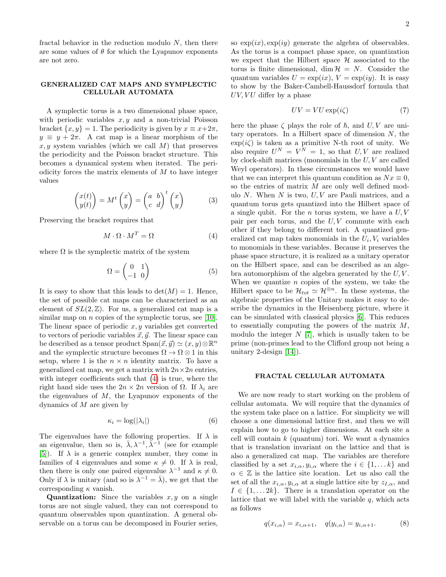fractal behavior in the reduction modulo  $N$ , then there are some values of  $\theta$  for which the Lyapunov exponents are not zero.

## GENERALIZED CAT MAPS AND SYMPLECTIC CELLULAR AUTOMATA

A symplectic torus is a two dimensional phase space, with periodic variables  $x, y$  and a non-trivial Poisson bracket  $\{x, y\} = 1$ . The periodicity is given by  $x \equiv x + 2\pi$ ,  $y \equiv y + 2\pi$ . A cat map is a linear morphism of the x, y system variables (which we call M) that preserves the periodicity and the Poisson bracket structure. This becomes a dynamical system when iterated. The periodicity forces the matrix elements of  $M$  to have integer values

$$
\begin{pmatrix} x(t) \\ y(t) \end{pmatrix} = M^t \begin{pmatrix} x \\ y \end{pmatrix} = \begin{pmatrix} a & b \\ c & d \end{pmatrix}^t \begin{pmatrix} x \\ y \end{pmatrix} \tag{3}
$$

Preserving the bracket requires that

<span id="page-1-0"></span>
$$
M \cdot \Omega \cdot M^T = \Omega \tag{4}
$$

where  $\Omega$  is the symplectic matrix of the system

$$
\Omega = \begin{pmatrix} 0 & 1 \\ -1 & 0 \end{pmatrix} \tag{5}
$$

It is easy to show that this leads to  $\det(M) = 1$ . Hence, the set of possible cat maps can be characterized as an element of  $SL(2, \mathbb{Z})$ . For us, a generalized cat map is a similar map on *n* copies of the symplectic torus, see [\[10\]](#page-4-8). The linear space of periodic  $x, y$  variables get converted to vectors of periodic variables  $\vec{x}, \vec{y}$ . The linear space can be described as a tensor product  $Span(\vec{x}, \vec{y}) \simeq (x, y) \otimes \mathbb{R}^n$ and the symplectic structure becomes  $\Omega \to \Omega \otimes 1$  in this setup, where 1 is the  $n \times n$  identity matrix. To have a generalized cat map, we get a matrix with  $2n \times 2n$  entries, with integer coefficients such that  $(4)$  is true, where the right hand side uses the  $2n \times 2n$  version of  $\Omega$ . If  $\lambda_i$  are the eigenvalues of  $M$ , the Lyapunov exponents of the dynamics of  $M$  are given by

$$
\kappa_i = \log(|\lambda_i|) \tag{6}
$$

The eigenvalues have the following properties. If  $\lambda$  is an eigenvalue, then so is,  $\bar{\lambda}, \lambda^{-1}, \bar{\bar{\lambda}}^{-1}$  (see for example [\[5\]](#page-4-4)). If  $\lambda$  is a generic complex number, they come in families of 4 eigenvalues and some  $\kappa \neq 0$ . If  $\lambda$  is real, then there is only one paired eigenvalue  $\lambda^{-1}$  and  $\kappa \neq 0$ . Only if  $\lambda$  is unitary (and so is  $\lambda^{-1} = \overline{\lambda}$ ), we get that the corresponding  $\kappa$  vanish.

**Quantization:** Since the variables  $x, y$  on a single torus are not single valued, they can not correspond to quantum observables upon quantization. A general observable on a torus can be decomposed in Fourier series, so  $\exp(ix), \exp(iy)$  generate the algebra of observables. As the torus is a compact phase space, on quantization we expect that the Hilbert space  $H$  associated to the torus is finite dimensional, dim  $\mathcal{H} = N$ . Consider the quantum variables  $U = \exp(ix)$ ,  $V = \exp(iy)$ . It is easy to show by the Baker-Cambell-Haussdorf formula that  $UV, VU$  differ by a phase

$$
UV = VU \exp(i\zeta) \tag{7}
$$

here the phase  $\zeta$  plays the role of  $\hbar$ , and  $U, V$  are unitary operators. In a Hilbert space of dimension  $N$ , the  $\exp(i\zeta)$  is taken as a primitive N-th root of unity. We also require  $U^N = V^N = 1$ , so that  $U, V$  are realized by clock-shift matrices (monomials in the  $U, V$  are called Weyl operators). In these circumstances we would have that we can interpret this quantum condition as  $Nx \equiv 0$ , so the entries of matrix M are only well defined modulo  $N$ . When  $N$  is two,  $U, V$  are Pauli matrices, and a quantum torus gets quantized into the Hilbert space of a single qubit. For the *n* torus system, we have a  $U, V$ pair per each torus, and the  $U, V$  commute with each other if they belong to different tori. A quantized generalized cat map takes monomials in the  $U_i$ ,  $V_i$  variables to monomials in these variables. Because it preserves the phase space structure, it is realized as a unitary operator on the Hilbert space, and can be described as an algebra automorphism of the algebra generated by the  $U, V$ . When we quantize  $n$  copies of the system, we take the Hilbert space to be  $\mathcal{H}_{tot} \simeq \mathcal{H}^{\otimes n}$ . In these systems, the algebraic properties of the Unitary makes it easy to describe the dynamics in the Heisenberg picture, where it can be simulated with classical physics [\[6\]](#page-4-5). This reduces to essentially computing the powers of the matrix  $M$ , modulo the integer  $N$  [\[7\]](#page-4-6), which is usually taken to be prime (non-primes lead to the Clifford group not being a unitary 2-design [\[14\]](#page-4-9)).

### FRACTAL CELLULAR AUTOMATA

We are now ready to start working on the problem of cellular automata. We will require that the dynamics of the system take place on a lattice. For simplicity we will choose a one dimensional lattice first, and then we will explain how to go to higher dimensions. At each site a cell will contain  $k$  (quantum) tori. We want a dynamics that is translation invariant on the lattice and that is also a generalized cat map. The variables are therefore classified by a set  $x_{i,\alpha}, y_{i,\alpha}$  where the  $i \in \{1, \dots k\}$  and  $\alpha \in \mathbb{Z}$  is the lattice site location. Let us also call the set of all the  $x_{i,\alpha}, y_{i,\alpha}$  at a single lattice site by  $z_{i,\alpha}$ , and  $I \in \{1, \ldots 2k\}$ . There is a translation operator on the lattice that we will label with the variable  $q$ , which acts as follows

$$
q(x_{i,\alpha}) = x_{i,\alpha+1}, \quad q(y_{i,\alpha}) = y_{i,\alpha+1}.
$$
 (8)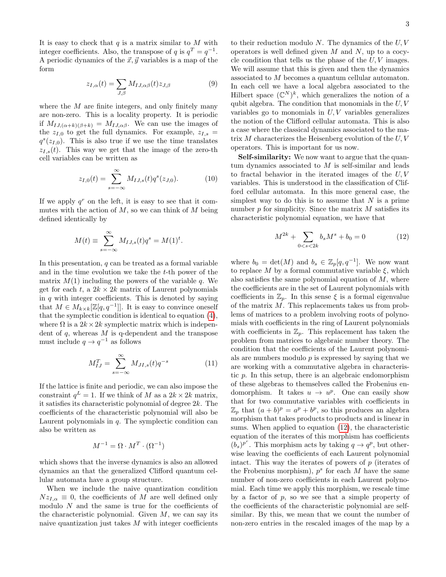It is easy to check that  $q$  is a matrix similar to  $M$  with integer coefficients. Also, the transpose of q is  $q^T = q^{-1}$ . A periodic dynamics of the  $\vec{x}, \vec{y}$  variables is a map of the form

$$
z_{I,\alpha}(t) = \sum_{J,\beta} M_{IJ,\alpha\beta}(t) z_{J,\beta} \tag{9}
$$

where the  $M$  are finite integers, and only finitely many are non-zero. This is a locality property. It is periodic if  $M_{IJ,(\alpha+k)(\beta+k)} = M_{IJ,\alpha\beta}$ . We can use the images of the  $z_{I,0}$  to get the full dynamics. For example,  $z_{I,s}$  =  $q^{s}(z_{I,0})$ . This is also true if we use the time translates  $z_{I,s}(t)$ . This way we get that the image of the zero-th cell variables can be written as

$$
z_{I,0}(t) = \sum_{s=-\infty}^{\infty} M_{I,J,s}(t) q^s(z_{J,0}).
$$
 (10)

If we apply  $q<sup>r</sup>$  on the left, it is easy to see that it commutes with the action of  $M$ , so we can think of  $M$  being defined identically by

$$
M(t) \equiv \sum_{s=-\infty}^{\infty} M_{IJ,s}(t)q^s = M(1)^t.
$$

In this presentation,  $q$  can be treated as a formal variable and in the time evolution we take the  $t$ -th power of the matrix  $M(1)$  including the powers of the variable q. We get for each t, a  $2k \times 2k$  matrix of Laurent polynomials in  $q$  with integer coefficients. This is denoted by saying that  $M \in M_{k \times k}[\mathbb{Z}[q, q^{-1}]]$ . It is easy to convince oneself that the symplectic condition is identical to equation [\(4\)](#page-1-0), where  $\Omega$  is a  $2k \times 2k$  symplectic matrix which is independent of  $q$ , whereas  $M$  is q-dependent and the transpose must include  $q \to q^{-1}$  as follows

$$
M_{IJ}^T = \sum_{s=-\infty}^{\infty} M_{JI,s}(t) q^{-s}
$$
 (11)

If the lattice is finite and periodic, we can also impose the constraint  $q^L = 1$ . If we think of M as a  $2k \times 2k$  matrix, it satisfies its characteristic polynomial of degree  $2k$ . The coefficients of the characteristic polynomial will also be Laurent polynomials in  $q$ . The symplectic condition can also be written as

$$
M^{-1} = \Omega \cdot M^T \cdot (\Omega^{-1})
$$

which shows that the inverse dynamics is also an allowed dynamics an that the generalized Clifford quantum cellular automata have a group structure.

When we include the naive quantization condition  $Nz_{L,\alpha} \equiv 0$ , the coefficients of M are well defined only modulo  $N$  and the same is true for the coefficients of the characteristic polynomial. Given  $M$ , we can say its naive quantization just takes  $M$  with integer coefficients to their reduction modulo  $N$ . The dynamics of the  $U, V$ operators is well defined given  $M$  and  $N$ , up to a cocycle condition that tells us the phase of the  $U, V$  images. We will assume that this is given and then the dynamics associated to M becomes a quantum cellular automaton. In each cell we have a local algebra associated to the Hilbert space  $(\mathbb{C}^N)^k$ , which generalizes the notion of a qubit algebra. The condition that monomials in the  $U, V$ variables go to monomials in  $U, V$  variables generalizes the notion of the Clifford cellular automata. This is also a case where the classical dynamics associated to the matrix M characterizes the Heisenberg evolution of the  $U, V$ operators. This is important for us now.

Self-similarity: We now want to argue that the quantum dynamics associated to  $M$  is self-similar and leads to fractal behavior in the iterated images of the U, V variables. This is understood in the classification of Clifford cellular automata. In this more general case, the simplest way to do this is to assume that  $N$  is a prime number  $p$  for simplicity. Since the matrix  $M$  satisfies its characteristic polynomial equation, we have that

<span id="page-2-0"></span>
$$
M^{2k} + \sum_{0 < s < 2k} b_s M^s + b_0 = 0 \tag{12}
$$

where  $b_0 = \det(M)$  and  $b_s \in \mathbb{Z}_p[q, q^{-1}]$ . We now want to replace M by a formal commutative variable  $\xi$ , which also satisfies the same polynomial equation of  $M$ , where the coefficients are in the set of Laurent polynomials with coefficients in  $\mathbb{Z}_p$ . In this sense  $\xi$  is a formal eigenvalue of the matrix M. This replacements takes us from problems of matrices to a problem involving roots of polynomials with coefficients in the ring of Laurent polynomials with coefficients in  $\mathbb{Z}_p$ . This replacement has taken the problem from matrices to algebraic number theory. The condition that the coefficients of the Laurent polynomials are numbers modulo  $p$  is expressed by saying that we are working with a commutative algebra in characteristic p. In this setup, there is an algebraic endomorphism of these algebras to themselves called the Frobenius endomorphism. It takes  $u \to u^p$ . One can easily show that for two commutative variables with coefficients in  $\mathbb{Z}_p$  that  $(a + b)^p = a^p + b^p$ , so this produces an algebra morphism that takes products to products and is linear in sums. When applied to equation [\(12\)](#page-2-0), the characteristic equation of the iterates of this morphism has coefficients  $(b_s)^{p^r}$ . This morphism acts by taking  $q \to q^p$ , but otherwise leaving the coefficients of each Laurent polynomial intact. This way the iterates of powers of p (iterates of the Frobenius morphism),  $p^s$  for each M have the same number of non-zero coefficients in each Laurent polynomial. Each time we apply this morphism, we rescale time by a factor of  $p$ , so we see that a simple property of the coefficients of the characteristic polynomial are selfsimilar. By this, we mean that we count the number of non-zero entries in the rescaled images of the map by a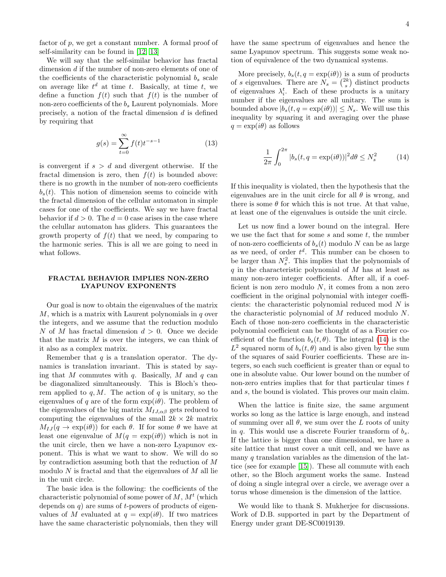factor of  $p$ , we get a constant number. A formal proof of self-similarity can be found in [\[12,](#page-4-10) [13\]](#page-4-11)

We will say that the self-similar behavior has fractal dimension d if the number of non-zero elements of one of the coefficients of the characteristic polynomial  $b_s$  scale on average like  $t^d$  at time t. Basically, at time t, we define a function  $f(t)$  such that  $f(t)$  is the number of non-zero coefficients of the  $b_s$  Laurent polynomials. More precisely, a notion of the fractal dimension d is defined by requiring that

$$
g(s) = \sum_{t=0}^{\infty} f(t)t^{-s-1}
$$
 (13)

is convergent if  $s > d$  and divergent otherwise. If the fractal dimension is zero, then  $f(t)$  is bounded above: there is no growth in the number of non-zero coefficients  $b_s(t)$ . This notion of dimension seems to coincide with the fractal dimension of the cellular automaton in simple cases for one of the coefficients. We say we have fractal behavior if  $d > 0$ . The  $d = 0$  case arises in the case where the celullar automaton has gliders. This guarantees the growth property of  $f(t)$  that we need, by comparing to the harmonic series. This is all we are going to need in what follows.

### FRACTAL BEHAVIOR IMPLIES NON-ZERO LYAPUNOV EXPONENTS

Our goal is now to obtain the eigenvalues of the matrix  $M$ , which is a matrix with Laurent polynomials in  $q$  over the integers, and we assume that the reduction modulo N of M has fractal dimension  $d > 0$ . Once we decide that the matrix  $M$  is over the integers, we can think of it also as a complex matrix.

Remember that  $q$  is a translation operator. The dynamics is translation invariant. This is stated by saying that M commutes with q. Basically, M and q can be diagonalized simultaneously. This is Bloch's theorem applied to  $q, M$ . The action of  $q$  is unitary, so the eigenvalues of q are of the form  $\exp(i\theta)$ . The problem of the eigenvalues of the big matrix  $M_{LL\alpha\beta}$  gets reduced to computing the eigenvalues of the small  $2k \times 2k$  matrix  $M_{IJ}(q \to \exp(i\theta))$  for each  $\theta$ . If for some  $\theta$  we have at least one eigenvalue of  $M(q = \exp(i\theta))$  which is not in the unit circle, then we have a non-zero Lyapunov exponent. This is what we want to show. We will do so by contradiction assuming both that the reduction of M modulo  $N$  is fractal and that the eigenvalues of  $M$  all lie in the unit circle.

The basic idea is the following: the coefficients of the characteristic polynomial of some power of  $M, M<sup>t</sup>$  (which depends on  $q$ ) are sums of t-powers of products of eigenvalues of M evaluated at  $q = \exp(i\theta)$ . If two matrices have the same characteristic polynomials, then they will have the same spectrum of eigenvalues and hence the same Lyapunov spectrum. This suggests some weak notion of equivalence of the two dynamical systems.

More precisely,  $b_s(t, q = \exp(i\theta))$  is a sum of products of s eigenvalues. There are  $N_s = \binom{2k}{s}$  distinct products of eigenvalues  $\lambda_i^t$ . Each of these products is a unitary number if the eigenvalues are all unitary. The sum is bounded above  $|b_s(t, q = \exp(i\theta))| \leq N_s$ . We will use this inequality by squaring it and averaging over the phase  $q = \exp(i\theta)$  as follows

<span id="page-3-0"></span>
$$
\frac{1}{2\pi} \int_0^{2\pi} |b_s(t, q = \exp(i\theta))|^2 d\theta \le N_s^2 \tag{14}
$$

If this inequality is violated, then the hypothesis that the eigenvalues are in the unit circle for all  $\theta$  is wrong, and there is some  $\theta$  for which this is not true. At that value, at least one of the eigenvalues is outside the unit circle.

Let us now find a lower bound on the integral. Here we use the fact that for some  $s$  and some  $t$ , the number of non-zero coefficients of  $b_s(t)$  modulo N can be as large as we need, of order  $t^d$ . This number can be chosen to be larger than  $N_s^2$ . This implies that the polynomials of q in the characteristic polynomial of  $M$  has at least as many non-zero integer coefficients. After all, if a coefficient is non zero modulo  $N$ , it comes from a non zero coefficient in the original polynomial with integer coefficients: the characteristic polynomial reduced mod N is the characteristic polynomial of M reduced modulo N. Each of those non-zero coefficients in the characteristic polynomial coefficient can be thought of as a Fourier coefficient of the function  $b_s(t, \theta)$ . The integral [\(14\)](#page-3-0) is the  $L^2$  squared norm of  $b_s(t, \theta)$  and is also given by the sum of the squares of said Fourier coefficients. These are integers, so each such coefficient is greater than or equal to one in absolute value. Our lower bound on the number of non-zero entries implies that for that particular times  $t$ and s, the bound is violated. This proves our main claim.

When the lattice is finite size, the same argument works so long as the lattice is large enough, and instead of summing over all  $\theta$ , we sum over the L roots of unity in q. This would use a discrete Fourier transform of  $b_s$ . If the lattice is bigger than one dimensional, we have a site lattice that must cover a unit cell, and we have as many  $q$  translation variables as the dimension of the lattice (see for example [\[15\]](#page-4-12)). These all commute with each other, so the Bloch argument works the same. Instead of doing a single integral over a circle, we average over a torus whose dimension is the dimension of the lattice.

We would like to thank S. Mukherjee for discussions. Work of D.B. supported in part by the Department of Energy under grant DE-SC0019139.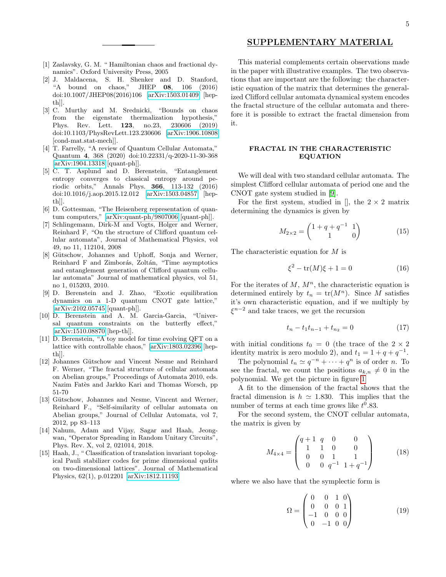### SUPPLEMENTARY MATERIAL

- <span id="page-4-0"></span>[1] Zaslavsky, G. M. " Hamiltonian chaos and fractional dynamics". Oxford University Press, 2005
- <span id="page-4-1"></span>[2] J. Maldacena, S. H. Shenker and D. Stanford, "A bound on chaos," JHEP 08, 106 (2016) doi:10.1007/JHEP08(2016)106 [\[arXiv:1503.01409](http://arxiv.org/abs/1503.01409) [hepth]].
- <span id="page-4-2"></span>[3] C. Murthy and M. Srednicki, "Bounds on chaos from the eigenstate thermalization hypothesis," Phys. Rev. Lett. 123, no.23, 230606 (2019) doi:10.1103/PhysRevLett.123.230606 [\[arXiv:1906.10808](http://arxiv.org/abs/1906.10808) [cond-mat.stat-mech]].
- <span id="page-4-3"></span>[4] T. Farrelly, "A review of Quantum Cellular Automata," Quantum 4, 368 (2020) doi:10.22331/q-2020-11-30-368 [\[arXiv:1904.13318](http://arxiv.org/abs/1904.13318) [quant-ph]].
- <span id="page-4-4"></span>[5] C. T. Asplund and D. Berenstein, "Entanglement entropy converges to classical entropy around periodic orbits," Annals Phys. 366, 113-132 (2016) doi:10.1016/j.aop.2015.12.012 [\[arXiv:1503.04857](http://arxiv.org/abs/1503.04857) [hepth]].
- <span id="page-4-5"></span>[6] D. Gottesman, "The Heisenberg representation of quantum computers," [\[arXiv:quant-ph/9807006](http://arxiv.org/abs/quant-ph/9807006) [quant-ph]].
- <span id="page-4-6"></span>[7] Schlingemann, Dirk-M and Vogts, Holger and Werner, Reinhard F, "On the structure of Clifford quantum cellular automata", Journal of Mathematical Physics, vol 49, no 11, 112104, 2008
- <span id="page-4-7"></span>[8] Gütschow, Johannes and Uphoff, Sonja and Werner, Reinhard F and Zimborás, Zoltán, "Time asymptotics and entanglement generation of Clifford quantum cellular automata" Journal of mathematical physics, vol 51, no 1, 015203, 2010.
- <span id="page-4-13"></span>[9] D. Berenstein and J. Zhao, "Exotic equilibration dynamics on a 1-D quantum CNOT gate lattice," [\[arXiv:2102.05745](http://arxiv.org/abs/2102.05745) [quant-ph]].
- <span id="page-4-8"></span>[10] D. Berenstein and A. M. Garcia-Garcia, "Universal quantum constraints on the butterfly effect," [\[arXiv:1510.08870](http://arxiv.org/abs/1510.08870) [hep-th]].
- [11] D. Berenstein, "A toy model for time evolving QFT on a lattice with controllable chaos," [\[arXiv:1803.02396](http://arxiv.org/abs/1803.02396) [hepth]].
- <span id="page-4-10"></span>[12] Johannes Gütschow and Vincent Nesme and Reinhard F. Werner, "The fractal structure of cellular automata on Abelian groups," Proceedings of Automata 2010, eds. Nazim Fatès and Jarkko Kari and Thomas Worsch, pp 51-70
- <span id="page-4-11"></span>[13] Gütschow, Johannes and Nesme, Vincent and Werner, Reinhard F., "Self-similarity of cellular automata on Abelian groups," Journal of Cellular Automata, vol 7, 2012, pp 83–113
- <span id="page-4-9"></span>[14] Nahum, Adam and Vijay, Sagar and Haah, Jeongwan, "Operator Spreading in Random Unitary Circuits", Phys. Rev. X, vol 2, 021014, 2018.
- <span id="page-4-12"></span>[15] Haah, J., " Classification of translation invariant topological Pauli stabilizer codes for prime dimensional qudits on two-dimensional lattices". Journal of Mathematical Physics, 62(1), p.012201 [\[arXiv:1812.11193\]](http://arxiv.org/abs/1812.11193)

This material complements certain observations made in the paper with illustrative examples. The two observations that are important are the following: the characteristic equation of the matrix that determines the generalized Clifford cellular automata dynamical system encodes the fractal structure of the cellular automata and therefore it is possible to extract the fractal dimension from it.

# FRACTAL IN THE CHARACTERISTIC EQUATION

We will deal with two standard cellular automata. The simplest Clifford cellular automata of period one and the CNOT gate system studied in [\[9\]](#page-4-13).

For the first system, studied in  $[]$ , the  $2 \times 2$  matrix determining the dynamics is given by

$$
M_{2 \times 2} = \begin{pmatrix} 1 + q + q^{-1} & 1 \\ 1 & 0 \end{pmatrix}
$$
 (15)

The characteristic equation for M is

$$
\xi^2 - \text{tr}(M)\xi + 1 = 0 \tag{16}
$$

For the iterates of  $M$ ,  $M<sup>n</sup>$ , the characteristic equation is determined entirely by  $t_n = \text{tr}(M^n)$ . Since M satisfies it's own characteristic equation, and if we multiply by  $\xi^{n-2}$  and take traces, we get the recursion

<span id="page-4-14"></span>
$$
t_n - t_1 t_{n-1} + t_{n_2} = 0 \tag{17}
$$

with initial conditions  $t_0 = 0$  (the trace of the  $2 \times 2$ identity matrix is zero modulo 2), and  $t_1 = 1 + q + q^{-1}$ .

The polynomial  $t_n \simeq q^{-n} + \cdots + q^n$  is of order n. To see the fractal, we count the positions  $a_{k,n} \neq 0$  in the polynomial. We get the picture in figure [1](#page-5-0)

A fit to the dimension of the fractal shows that the fractal dimension is  $h \approx 1.830$ . This implies that the number of terms at each time grows like  $t^0.83$ .

For the second system, the CNOT cellular automata, the matrix is given by

$$
M_{4\times4} = \begin{pmatrix} q+1 & q & 0 & 0 \\ 1 & 1 & 0 & 0 \\ 0 & 0 & 1 & 1 \\ 0 & 0 & q^{-1} & 1+q^{-1} \end{pmatrix}
$$
 (18)

where we also have that the symplectic form is

$$
\Omega = \begin{pmatrix} 0 & 0 & 1 & 0 \\ 0 & 0 & 0 & 1 \\ -1 & 0 & 0 & 0 \\ 0 & -1 & 0 & 0 \end{pmatrix}
$$
 (19)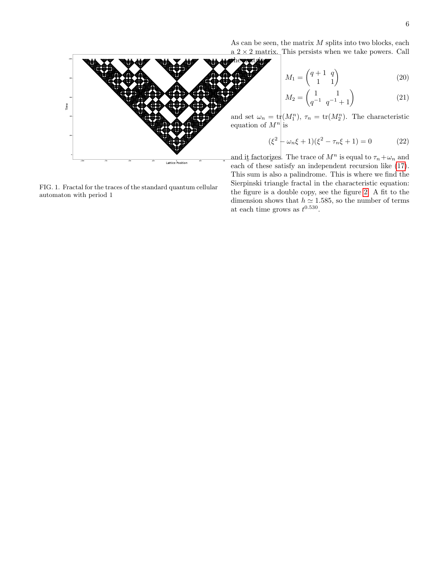As can be seen, the matrix  $M$  splits into two blocks, each  $a$  2  $\times$  2 matrix. This persists when we take powers. Call

$$
M_1 = \begin{pmatrix} q+1 & q \\ 1 & 1 \end{pmatrix} \tag{20}
$$

$$
M_2 = \begin{pmatrix} 1 & 1 \\ q^{-1} & q^{-1} + 1 \end{pmatrix}
$$
 (21)

and set  $\omega_n = \text{tr}(M_1^n)$ ,  $\tau_n = \text{tr}(M_2^n)$ . The characteristic equation of  $M^n$  is

$$
(\xi^2 \left| \omega_n \xi + 1\right) (\xi^2 - \tau_n \xi + 1) = 0 \tag{22}
$$

<span id="page-5-0"></span>

each of these satisfy an independent recursion like [\(17\)](#page-4-14). This sum is also a palindrome. This is where we find the Sierpinski triangle fractal in the characteristic equation: the figure is a double copy, see the figure [2.](#page-6-0) A fit to the dimension shows that  $h \approx 1.585$ , so the number of terms at each time grows as  $t^{0.530}$ .